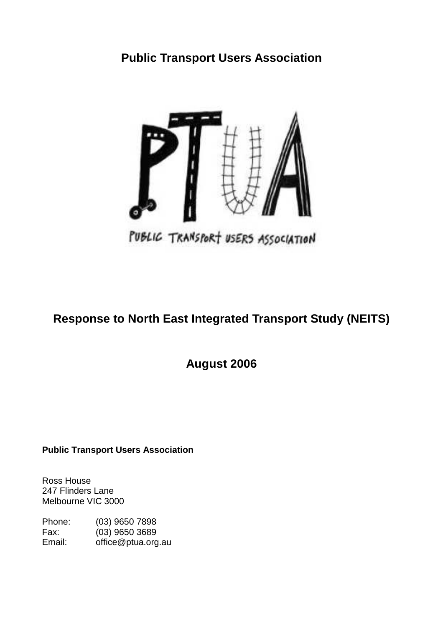# **Public Transport Users Association**



# **Response to North East Integrated Transport Study (NEITS)**

**August 2006**

## **Public Transport Users Association**

Ross House 247 Flinders Lane Melbourne VIC 3000

| Phone: | $(03)$ 9650 7898   |
|--------|--------------------|
| Fax:   | $(03)$ 9650 3689   |
| Email: | office@ptua.org.au |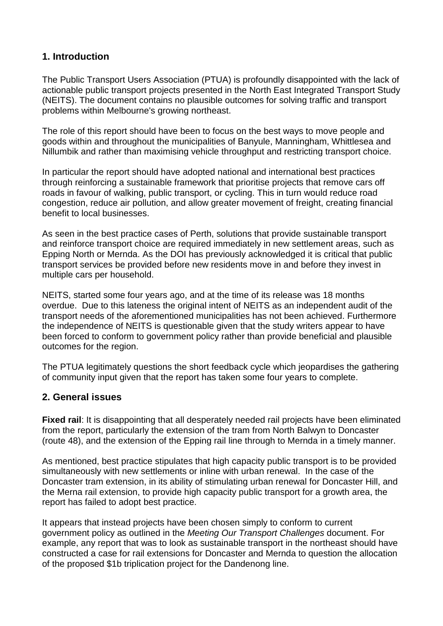# **1. Introduction**

The Public Transport Users Association (PTUA) is profoundly disappointed with the lack of actionable public transport projects presented in the North East Integrated Transport Study (NEITS). The document contains no plausible outcomes for solving traffic and transport problems within Melbourne's growing northeast.

The role of this report should have been to focus on the best ways to move people and goods within and throughout the municipalities of Banyule, Manningham, Whittlesea and Nillumbik and rather than maximising vehicle throughput and restricting transport choice.

In particular the report should have adopted national and international best practices through reinforcing a sustainable framework that prioritise projects that remove cars off roads in favour of walking, public transport, or cycling. This in turn would reduce road congestion, reduce air pollution, and allow greater movement of freight, creating financial benefit to local businesses.

As seen in the best practice cases of Perth, solutions that provide sustainable transport and reinforce transport choice are required immediately in new settlement areas, such as Epping North or Mernda. As the DOI has previously acknowledged it is critical that public transport services be provided before new residents move in and before they invest in multiple cars per household.

NEITS, started some four years ago, and at the time of its release was 18 months overdue. Due to this lateness the original intent of NEITS as an independent audit of the transport needs of the aforementioned municipalities has not been achieved. Furthermore the independence of NEITS is questionable given that the study writers appear to have been forced to conform to government policy rather than provide beneficial and plausible outcomes for the region.

The PTUA legitimately questions the short feedback cycle which jeopardises the gathering of community input given that the report has taken some four years to complete.

## **2. General issues**

**Fixed rail**: It is disappointing that all desperately needed rail projects have been eliminated from the report, particularly the extension of the tram from North Balwyn to Doncaster (route 48), and the extension of the Epping rail line through to Mernda in a timely manner.

As mentioned, best practice stipulates that high capacity public transport is to be provided simultaneously with new settlements or inline with urban renewal. In the case of the Doncaster tram extension, in its ability of stimulating urban renewal for Doncaster Hill, and the Merna rail extension, to provide high capacity public transport for a growth area, the report has failed to adopt best practice.

It appears that instead projects have been chosen simply to conform to current government policy as outlined in the *Meeting Our Transport Challenges* document. For example, any report that was to look as sustainable transport in the northeast should have constructed a case for rail extensions for Doncaster and Mernda to question the allocation of the proposed \$1b triplication project for the Dandenong line.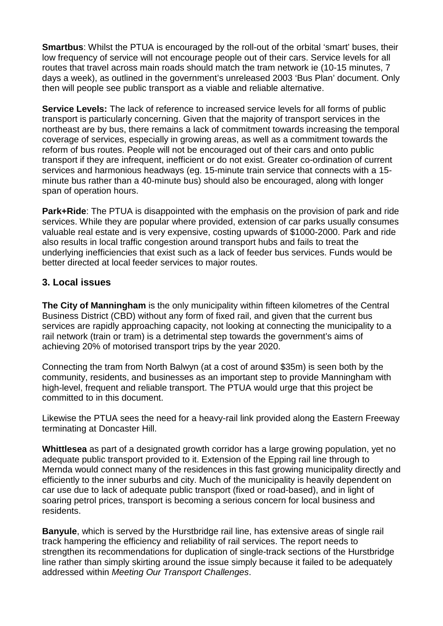**Smartbus:** Whilst the PTUA is encouraged by the roll-out of the orbital 'smart' buses, their low frequency of service will not encourage people out of their cars. Service levels for all routes that travel across main roads should match the tram network ie (10-15 minutes, 7 days a week), as outlined in the government's unreleased 2003 'Bus Plan' document. Only then will people see public transport as a viable and reliable alternative.

**Service Levels:** The lack of reference to increased service levels for all forms of public transport is particularly concerning. Given that the majority of transport services in the northeast are by bus, there remains a lack of commitment towards increasing the temporal coverage of services, especially in growing areas, as well as a commitment towards the reform of bus routes. People will not be encouraged out of their cars and onto public transport if they are infrequent, inefficient or do not exist. Greater co-ordination of current services and harmonious headways (eg. 15-minute train service that connects with a 15 minute bus rather than a 40-minute bus) should also be encouraged, along with longer span of operation hours.

**Park+Ride**: The PTUA is disappointed with the emphasis on the provision of park and ride services. While they are popular where provided, extension of car parks usually consumes valuable real estate and is very expensive, costing upwards of \$1000-2000. Park and ride also results in local traffic congestion around transport hubs and fails to treat the underlying inefficiencies that exist such as a lack of feeder bus services. Funds would be better directed at local feeder services to major routes.

## **3. Local issues**

**The City of Manningham** is the only municipality within fifteen kilometres of the Central Business District (CBD) without any form of fixed rail, and given that the current bus services are rapidly approaching capacity, not looking at connecting the municipality to a rail network (train or tram) is a detrimental step towards the government's aims of achieving 20% of motorised transport trips by the year 2020.

Connecting the tram from North Balwyn (at a cost of around \$35m) is seen both by the community, residents, and businesses as an important step to provide Manningham with high-level, frequent and reliable transport. The PTUA would urge that this project be committed to in this document.

Likewise the PTUA sees the need for a heavy-rail link provided along the Eastern Freeway terminating at Doncaster Hill.

**Whittlesea** as part of a designated growth corridor has a large growing population, yet no adequate public transport provided to it. Extension of the Epping rail line through to Mernda would connect many of the residences in this fast growing municipality directly and efficiently to the inner suburbs and city. Much of the municipality is heavily dependent on car use due to lack of adequate public transport (fixed or road-based), and in light of soaring petrol prices, transport is becoming a serious concern for local business and residents.

**Banyule**, which is served by the Hurstbridge rail line, has extensive areas of single rail track hampering the efficiency and reliability of rail services. The report needs to strengthen its recommendations for duplication of single-track sections of the Hurstbridge line rather than simply skirting around the issue simply because it failed to be adequately addressed within *Meeting Our Transport Challenges*.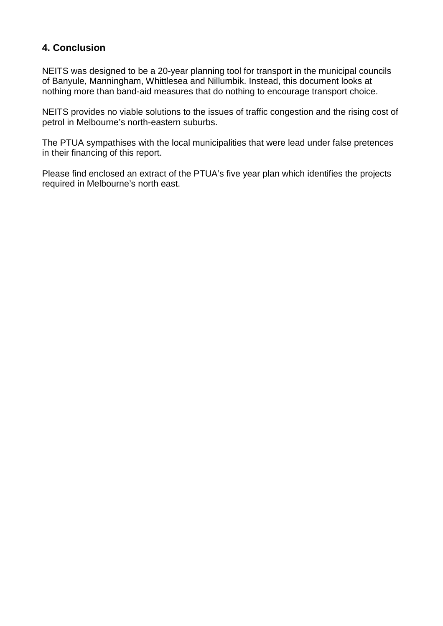# **4. Conclusion**

NEITS was designed to be a 20-year planning tool for transport in the municipal councils of Banyule, Manningham, Whittlesea and Nillumbik. Instead, this document looks at nothing more than band-aid measures that do nothing to encourage transport choice.

NEITS provides no viable solutions to the issues of traffic congestion and the rising cost of petrol in Melbourne's north-eastern suburbs.

The PTUA sympathises with the local municipalities that were lead under false pretences in their financing of this report.

Please find enclosed an extract of the PTUA's five year plan which identifies the projects required in Melbourne's north east.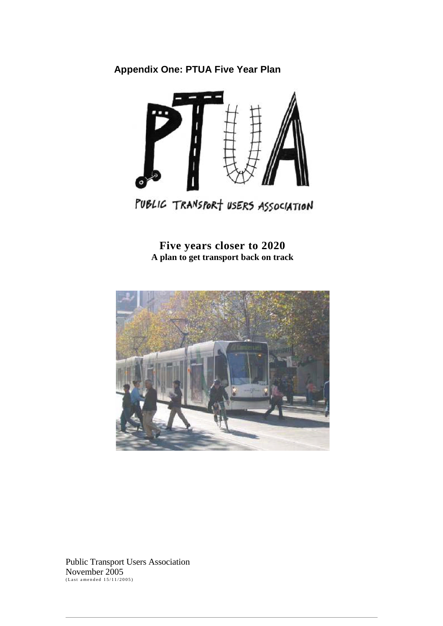# **Appendix One: PTUA Five Year Plan**



PUBLIC TRANSPORT USERS ASSOCIATION

**Five years closer to 2020 A plan to get transport back on track**



Public Transport Users Association November 2005<br><sub>(Last amended 15/11/2005)</sub>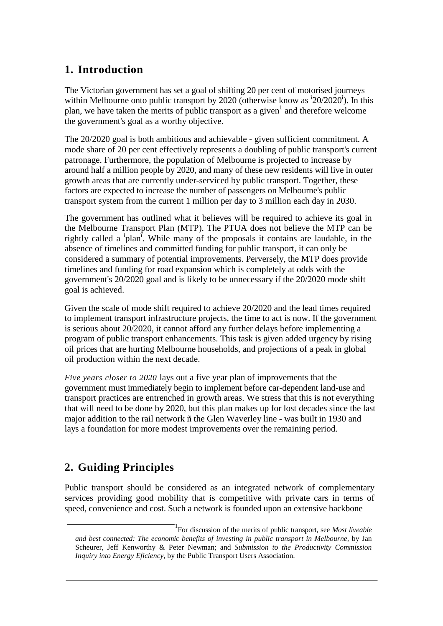# **1. Introduction**

The Victorian government has set a goal of shifting 20 per cent of motorised journeys within Melbourne onto public transport by 2020 (otherwise know as  $^{12}0/2020^{1}$ ). In this plan, we have taken the merits of public transport as a given<sup>1</sup> and therefore welcome the government's goal as a worthy objective.

The 20/2020 goal is both ambitious and achievable - given sufficient commitment. A mode share of 20 per cent effectively represents a doubling of public transport's current patronage. Furthermore, the population of Melbourne is projected to increase by around half a million people by 2020, and many of these new residents will live in outer growth areas that are currently under-serviced by public transport. Together, these factors are expected to increase the number of passengers on Melbourne's public transport system from the current 1 million per day to 3 million each day in 2030.

The government has outlined what it believes will be required to achieve its goal in the Melbourne Transport Plan (MTP). The PTUA does not believe the MTP can be rightly called a  $\hat{i}$  plan<sup> $\hat{i}$ </sup>. While many of the proposals it contains are laudable, in the absence of timelines and committed funding for public transport, it can only be considered a summary of potential improvements. Perversely, the MTP does provide timelines and funding for road expansion which is completely at odds with the government's 20/2020 goal and is likely to be unnecessary if the 20/2020 mode shift goal is achieved.

Given the scale of mode shift required to achieve 20/2020 and the lead times required to implement transport infrastructure projects, the time to act is now. If the government is serious about 20/2020, it cannot afford any further delays before implementing a program of public transport enhancements. This task is given added urgency by rising oil prices that are hurting Melbourne households, and projections of a peak in global oil production within the next decade.

*Five years closer to 2020* lays out a five year plan of improvements that the government must immediately begin to implement before car-dependent land-use and transport practices are entrenched in growth areas. We stress that this is not everything that will need to be done by 2020, but this plan makes up for lost decades since the last major addition to the rail network ñ the Glen Waverley line - was built in 1930 and lays a foundation for more modest improvements over the remaining period.

# **2. Guiding Principles**

Public transport should be considered as an integrated network of complementary services providing good mobility that is competitive with private cars in terms of speed, convenience and cost. Such a network is founded upon an extensive backbone

<sup>1</sup> For discussion of the merits of public transport, see *Most liveable and best connected: The economic benefits of investing in public transport in Melbourne,* by Jan Scheurer, Jeff Kenworthy & Peter Newman; and *Submission to the Productivity Commission Inquiry into Energy Eficiency,* by the Public Transport Users Association.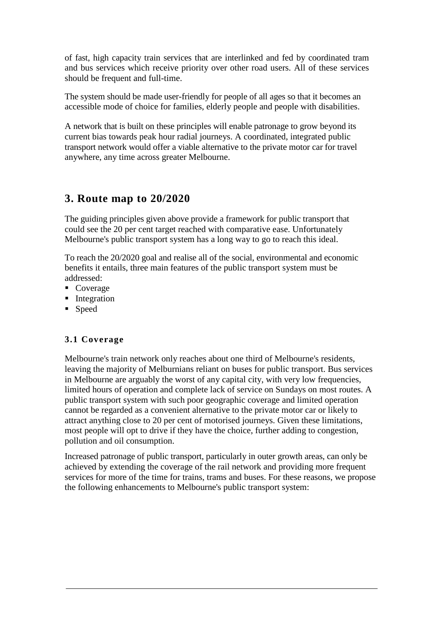of fast, high capacity train services that are interlinked and fed by coordinated tram and bus services which receive priority over other road users. All of these services should be frequent and full-time.

The system should be made user-friendly for people of all ages so that it becomes an accessible mode of choice for families, elderly people and people with disabilities.

A network that is built on these principles will enable patronage to grow beyond its current bias towards peak hour radial journeys. A coordinated, integrated public transport network would offer a viable alternative to the private motor car for travel anywhere, any time across greater Melbourne.

# **3. Route map to 20/2020**

The guiding principles given above provide a framework for public transport that could see the 20 per cent target reached with comparative ease. Unfortunately Melbourne's public transport system has a long way to go to reach this ideal.

To reach the 20/2020 goal and realise all of the social, environmental and economic benefits it entails, three main features of the public transport system must be addressed:

- Coverage
- **Integration**
- **Speed**

## **3.1 Coverage**

Melbourne's train network only reaches about one third of Melbourne's residents, leaving the majority of Melburnians reliant on buses for public transport. Bus services in Melbourne are arguably the worst of any capital city, with very low frequencies, limited hours of operation and complete lack of service on Sundays on most routes. A public transport system with such poor geographic coverage and limited operation cannot be regarded as a convenient alternative to the private motor car or likely to attract anything close to 20 per cent of motorised journeys. Given these limitations, most people will opt to drive if they have the choice, further adding to congestion, pollution and oil consumption.

Increased patronage of public transport, particularly in outer growth areas, can only be achieved by extending the coverage of the rail network and providing more frequent services for more of the time for trains, trams and buses. For these reasons, we propose the following enhancements to Melbourne's public transport system: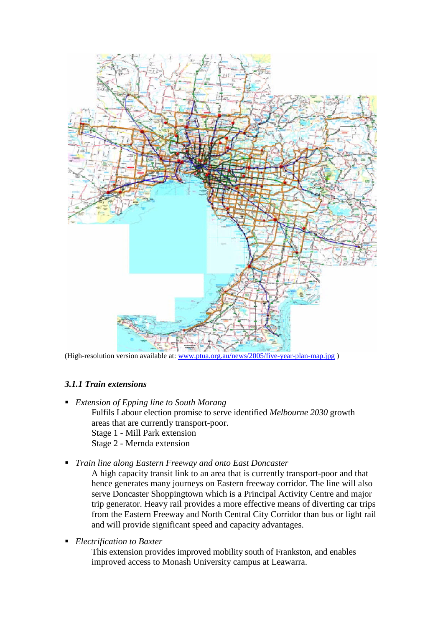

(High-resolution version available at: www.ptua.org.au/news/2005/five-year-plan-map.jpg )

#### *3.1.1 Train extensions*

- *Extension of Epping line to South Morang* Fulfils Labour election promise to serve identified *Melbourne 2030* growth areas that are currently transport-poor. Stage 1 - Mill Park extension Stage 2 - Mernda extension
- *Train line along Eastern Freeway and onto East Doncaster*
	- A high capacity transit link to an area that is currently transport-poor and that hence generates many journeys on Eastern freeway corridor. The line will also serve Doncaster Shoppingtown which is a Principal Activity Centre and major trip generator. Heavy rail provides a more effective means of diverting car trips from the Eastern Freeway and North Central City Corridor than bus or light rail and will provide significant speed and capacity advantages.
- *Electrification to Baxter*

This extension provides improved mobility south of Frankston, and enables improved access to Monash University campus at Leawarra.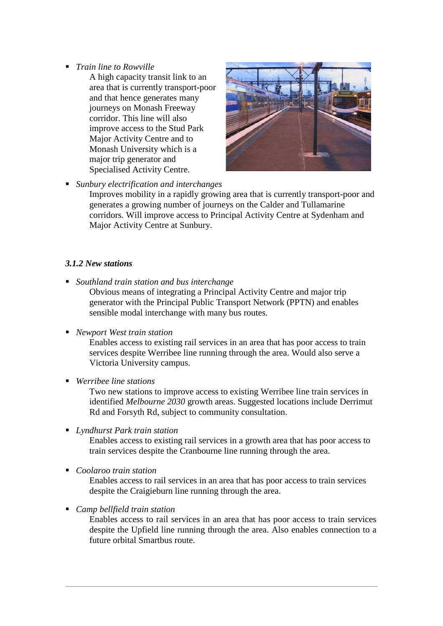- *Train line to Rowville*
	- A high capacity transit link to an area that is currently transport-poor and that hence generates many journeys on Monash Freeway corridor. This line will also improve access to the Stud Park Major Activity Centre and to Monash University which is a major trip generator and Specialised Activity Centre.



*Sunbury electrification and interchanges*

Improves mobility in a rapidly growing area that is currently transport-poor and generates a growing number of journeys on the Calder and Tullamarine corridors. Will improve access to Principal Activity Centre at Sydenham and Major Activity Centre at Sunbury.

#### *3.1.2 New stations*

*Southland train station and bus interchange*

Obvious means of integrating a Principal Activity Centre and major trip generator with the Principal Public Transport Network (PPTN) and enables sensible modal interchange with many bus routes.

#### *Newport West train station*

Enables access to existing rail services in an area that has poor access to train services despite Werribee line running through the area. Would also serve a Victoria University campus.

*Werribee line stations*

Two new stations to improve access to existing Werribee line train services in identified *Melbourne 2030* growth areas. Suggested locations include Derrimut Rd and Forsyth Rd, subject to community consultation.

*Lyndhurst Park train station*

Enables access to existing rail services in a growth area that has poor access to train services despite the Cranbourne line running through the area.

*Coolaroo train station*

Enables access to rail services in an area that has poor access to train services despite the Craigieburn line running through the area.

*Camp bellfield train station*

Enables access to rail services in an area that has poor access to train services despite the Upfield line running through the area. Also enables connection to a future orbital Smartbus route.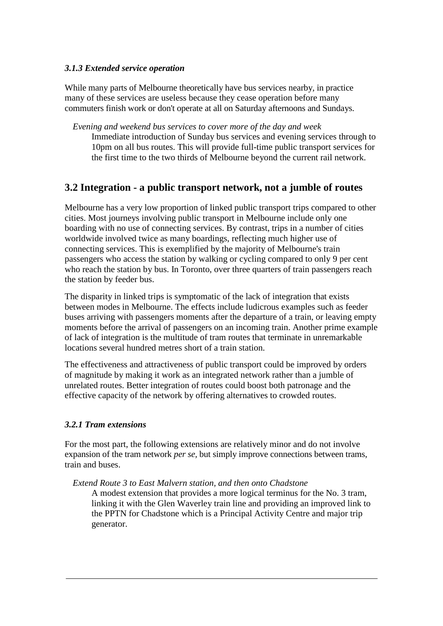#### *3.1.3 Extended service operation*

While many parts of Melbourne theoretically have bus services nearby, in practice many of these services are useless because they cease operation before many commuters finish work or don't operate at all on Saturday afternoons and Sundays.

*Evening and weekend bus services to cover more of the day and week* Immediate introduction of Sunday bus services and evening services through to 10pm on all bus routes. This will provide full-time public transport services for the first time to the two thirds of Melbourne beyond the current rail network.

# **3.2 Integration - a public transport network, not a jumble of routes**

Melbourne has a very low proportion of linked public transport trips compared to other cities. Most journeys involving public transport in Melbourne include only one boarding with no use of connecting services. By contrast, trips in a number of cities worldwide involved twice as many boardings, reflecting much higher use of connecting services. This is exemplified by the majority of Melbourne's train passengers who access the station by walking or cycling compared to only 9 per cent who reach the station by bus. In Toronto, over three quarters of train passengers reach the station by feeder bus.

The disparity in linked trips is symptomatic of the lack of integration that exists between modes in Melbourne. The effects include ludicrous examples such as feeder buses arriving with passengers moments after the departure of a train, or leaving empty moments before the arrival of passengers on an incoming train. Another prime example of lack of integration is the multitude of tram routes that terminate in unremarkable locations several hundred metres short of a train station.

The effectiveness and attractiveness of public transport could be improved by orders of magnitude by making it work as an integrated network rather than a jumble of unrelated routes. Better integration of routes could boost both patronage and the effective capacity of the network by offering alternatives to crowded routes.

### *3.2.1 Tram extensions*

For the most part, the following extensions are relatively minor and do not involve expansion of the tram network *per se,* but simply improve connections between trams, train and buses.

*Extend Route 3 to East Malvern station, and then onto Chadstone*

A modest extension that provides a more logical terminus for the No. 3 tram, linking it with the Glen Waverley train line and providing an improved link to the PPTN for Chadstone which is a Principal Activity Centre and major trip generator.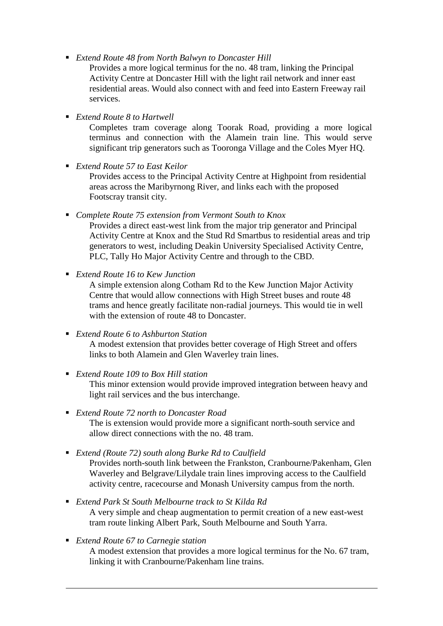*Extend Route 48 from North Balwyn to Doncaster Hill*

Provides a more logical terminus for the no. 48 tram, linking the Principal Activity Centre at Doncaster Hill with the light rail network and inner east residential areas. Would also connect with and feed into Eastern Freeway rail services.

*Extend Route 8 to Hartwell*

Completes tram coverage along Toorak Road, providing a more logical terminus and connection with the Alamein train line. This would serve significant trip generators such as Tooronga Village and the Coles Myer HQ.

*Extend Route 57 to East Keilor*

Provides access to the Principal Activity Centre at Highpoint from residential areas across the Maribyrnong River, and links each with the proposed Footscray transit city.

*Complete Route 75 extension from Vermont South to Knox*

Provides a direct east-west link from the major trip generator and Principal Activity Centre at Knox and the Stud Rd Smartbus to residential areas and trip generators to west, including Deakin University Specialised Activity Centre, PLC, Tally Ho Major Activity Centre and through to the CBD.

*Extend Route 16 to Kew Junction*

A simple extension along Cotham Rd to the Kew Junction Major Activity Centre that would allow connections with High Street buses and route 48 trams and hence greatly facilitate non-radial journeys. This would tie in well with the extension of route 48 to Doncaster.

*Extend Route 6 to Ashburton Station*

A modest extension that provides better coverage of High Street and offers links to both Alamein and Glen Waverley train lines.

*Extend Route 109 to Box Hill station*

This minor extension would provide improved integration between heavy and light rail services and the bus interchange.

- *Extend Route 72 north to Doncaster Road* The is extension would provide more a significant north-south service and allow direct connections with the no. 48 tram.
- *Extend (Route 72) south along Burke Rd to Caulfield* Provides north-south link between the Frankston, Cranbourne/Pakenham, Glen Waverley and Belgrave/Lilydale train lines improving access to the Caulfield activity centre, racecourse and Monash University campus from the north.
- *Extend Park St South Melbourne track to St Kilda Rd* A very simple and cheap augmentation to permit creation of a new east-west tram route linking Albert Park, South Melbourne and South Yarra.
- *Extend Route 67 to Carnegie station* A modest extension that provides a more logical terminus for the No. 67 tram, linking it with Cranbourne/Pakenham line trains.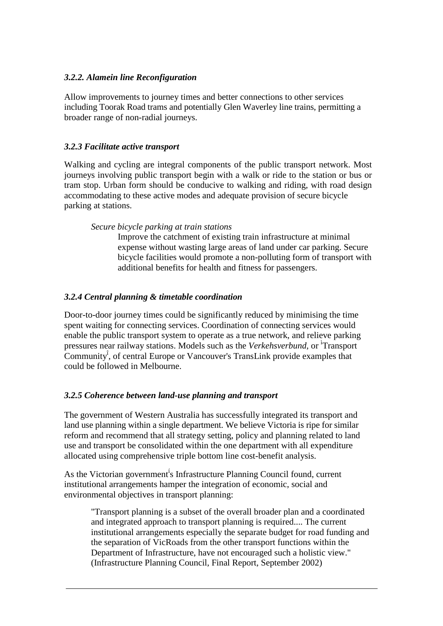#### *3.2.2. Alamein line Reconfiguration*

Allow improvements to journey times and better connections to other services including Toorak Road trams and potentially Glen Waverley line trains, permitting a broader range of non-radial journeys.

#### *3.2.3 Facilitate active transport*

Walking and cycling are integral components of the public transport network. Most journeys involving public transport begin with a walk or ride to the station or bus or tram stop. Urban form should be conducive to walking and riding, with road design accommodating to these active modes and adequate provision of secure bicycle parking at stations.

*Secure bicycle parking at train stations*

Improve the catchment of existing train infrastructure at minimal expense without wasting large areas of land under car parking. Secure bicycle facilities would promote a non-polluting form of transport with additional benefits for health and fitness for passengers.

#### *3.2.4 Central planning & timetable coordination*

Door-to-door journey times could be significantly reduced by minimising the time spent waiting for connecting services. Coordination of connecting services would enable the public transport system to operate as a true network, and relieve parking pressures near railway stations. Models such as the *Verkehsverbund,* or ì Transport Community<sup>î</sup> , of central Europe or Vancouver's TransLink provide examples that could be followed in Melbourne.

### *3.2.5 Coherence between land-use planning and transport*

The government of Western Australia has successfully integrated its transport and land use planning within a single department. We believe Victoria is ripe for similar reform and recommend that all strategy setting, policy and planning related to land use and transport be consolidated within the one department with all expenditure allocated using comprehensive triple bottom line cost-benefit analysis.

As the Victorian government<sup>i</sup>s Infrastructure Planning Council found, current institutional arrangements hamper the integration of economic, social and environmental objectives in transport planning:

"Transport planning is a subset of the overall broader plan and a coordinated and integrated approach to transport planning is required.... The current institutional arrangements especially the separate budget for road funding and the separation of VicRoads from the other transport functions within the Department of Infrastructure, have not encouraged such a holistic view." (Infrastructure Planning Council, Final Report, September 2002)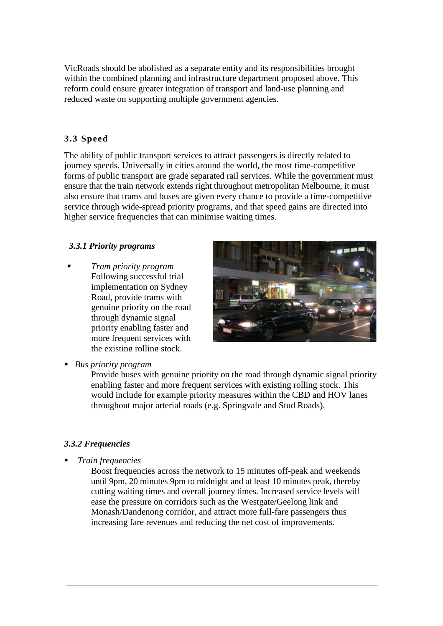VicRoads should be abolished as a separate entity and its responsibilities brought within the combined planning and infrastructure department proposed above. This reform could ensure greater integration of transport and land-use planning and reduced waste on supporting multiple government agencies.

## **3.3 Speed**

The ability of public transport services to attract passengers is directly related to journey speeds. Universally in cities around the world, the most time-competitive forms of public transport are grade separated rail services. While the government must ensure that the train network extends right throughout metropolitan Melbourne, it must also ensure that trams and buses are given every chance to provide a time-competitive service through wide-spread priority programs, and that speed gains are directed into higher service frequencies that can minimise waiting times.

#### *3.3.1 Priority programs*

ı *Tram priority program* Following successful trial implementation on Sydney Road, provide trams with genuine priority on the road through dynamic signal priority enabling faster and more frequent services with the existing rolling stock.



*Bus priority program*

Provide buses with genuine priority on the road through dynamic signal priority enabling faster and more frequent services with existing rolling stock. This would include for example priority measures within the CBD and HOV lanes throughout major arterial roads (e.g. Springvale and Stud Roads).

### *3.3.2 Frequencies*

*Train frequencies*

Boost frequencies across the network to 15 minutes off-peak and weekends until 9pm, 20 minutes 9pm to midnight and at least 10 minutes peak, thereby cutting waiting times and overall journey times. Increased service levels will ease the pressure on corridors such as the Westgate/Geelong link and Monash/Dandenong corridor, and attract more full-fare passengers thus increasing fare revenues and reducing the net cost of improvements.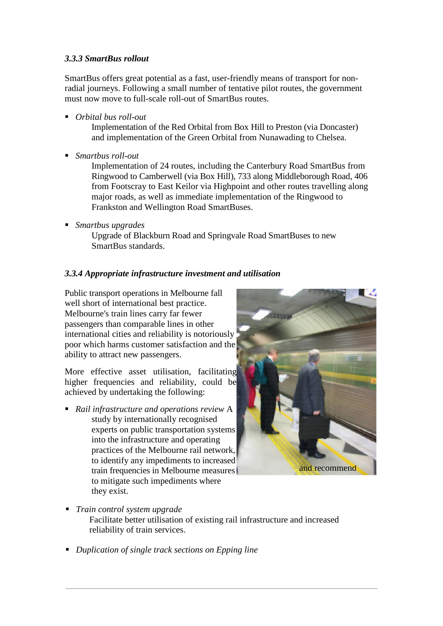#### *3.3.3 SmartBus rollout*

SmartBus offers great potential as a fast, user-friendly means of transport for nonradial journeys. Following a small number of tentative pilot routes, the government must now move to full-scale roll-out of SmartBus routes.

*Orbital bus roll-out*

Implementation of the Red Orbital from Box Hill to Preston (via Doncaster) and implementation of the Green Orbital from Nunawading to Chelsea.

*Smartbus roll-out*

Implementation of 24 routes, including the Canterbury Road SmartBus from Ringwood to Camberwell (via Box Hill), 733 along Middleborough Road, 406 from Footscray to East Keilor via Highpoint and other routes travelling along major roads, as well as immediate implementation of the Ringwood to Frankston and Wellington Road SmartBuses.

*Smartbus upgrades*

Upgrade of Blackburn Road and Springvale Road SmartBuses to new SmartBus standards.

### *3.3.4 Appropriate infrastructure investment and utilisation*

Public transport operations in Melbourne fall well short of international best practice. Melbourne's train lines carry far fewer passengers than comparable lines in other international cities and reliability is notoriously poor which harms customer satisfaction and the ability to attract new passengers.

More effective asset utilisation, facilitating higher frequencies and reliability, could be achieved by undertaking the following:

 *Rail infrastructure and operations review* A study by internationally recognised experts on public transportation systems into the infrastructure and operating practices of the Melbourne rail network, to identify any impediments to increased train frequencies in Melbourne measures to mitigate such impediments where they exist.



*Train control system upgrade*

Facilitate better utilisation of existing rail infrastructure and increased reliability of train services.

*Duplication of single track sections on Epping line*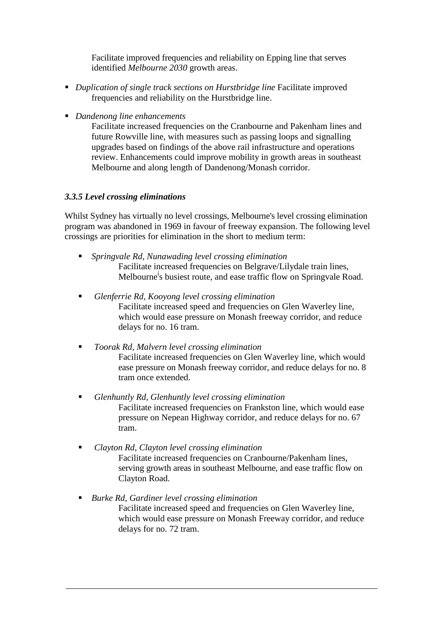Facilitate improved frequencies and reliability on Epping line that serves identified *Melbourne 2030* growth areas.

- *Duplication of single track sections on Hurstbridge line* Facilitate improved frequencies and reliability on the Hurstbridge line.
- *Dandenong line enhancements*

Facilitate increased frequencies on the Cranbourne and Pakenham lines and future Rowville line, with measures such as passing loops and signalling upgrades based on findings of the above rail infrastructure and operations review. Enhancements could improve mobility in growth areas in southeast Melbourne and along length of Dandenong/Monash corridor.

## *3.3.5 Level crossing eliminations*

Whilst Sydney has virtually no level crossings, Melbourne's level crossing elimination program was abandoned in 1969 in favour of freeway expansion. The following level crossings are priorities for elimination in the short to medium term:

- *Springvale Rd, Nunawading level crossing elimination* Facilitate increased frequencies on Belgrave/Lilydale train lines, Melbourne<sup>í</sup>s busiest route, and ease traffic flow on Springvale Road.
- *Glenferrie Rd, Kooyong level crossing elimination* Facilitate increased speed and frequencies on Glen Waverley line, which would ease pressure on Monash freeway corridor, and reduce delays for no. 16 tram.
- *Toorak Rd, Malvern level crossing elimination* Facilitate increased frequencies on Glen Waverley line, which would ease pressure on Monash freeway corridor, and reduce delays for no. 8 tram once extended.
- *Glenhuntly Rd, Glenhuntly level crossing elimination* Facilitate increased frequencies on Frankston line, which would ease pressure on Nepean Highway corridor, and reduce delays for no. 67 tram.
- *Clayton Rd, Clayton level crossing elimination* Facilitate increased frequencies on Cranbourne/Pakenham lines, serving growth areas in southeast Melbourne, and ease traffic flow on Clayton Road.
- *Burke Rd, Gardiner level crossing elimination* Facilitate increased speed and frequencies on Glen Waverley line, which would ease pressure on Monash Freeway corridor, and reduce delays for no. 72 tram.